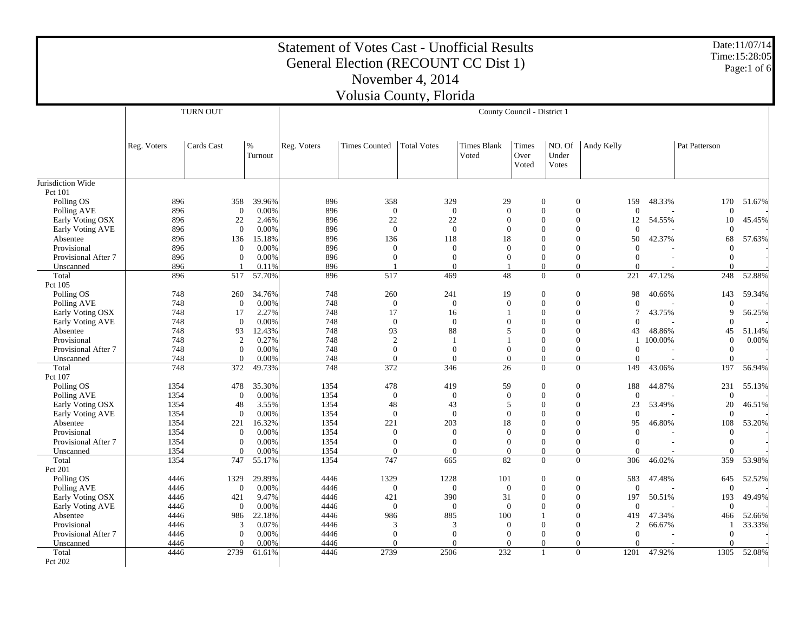|                                  |              |                          |                 | <b>Statement of Votes Cast - Unofficial Results</b> |                       | General Election (RECOUNT CC Dist 1) |                              |                        |                                                                  |                      |         |                          | Date:11/07/14<br>Time: 15:28:05<br>Page: $1$ of 6 |
|----------------------------------|--------------|--------------------------|-----------------|-----------------------------------------------------|-----------------------|--------------------------------------|------------------------------|------------------------|------------------------------------------------------------------|----------------------|---------|--------------------------|---------------------------------------------------|
|                                  |              |                          |                 |                                                     |                       | November 4, 2014                     |                              |                        |                                                                  |                      |         |                          |                                                   |
|                                  |              |                          |                 |                                                     |                       | Volusia County, Florida              |                              |                        |                                                                  |                      |         |                          |                                                   |
|                                  |              | <b>TURN OUT</b>          |                 |                                                     |                       |                                      | County Council - District 1  |                        |                                                                  |                      |         |                          |                                                   |
|                                  | Reg. Voters  | Cards Cast               | $\%$<br>Turnout | Reg. Voters                                         | <b>Times Counted</b>  | <b>Total Votes</b>                   | <b>Times Blank</b><br>Voted  | Times<br>Over<br>Voted | NO. Of<br>Under<br>Votes                                         | Andy Kelly           |         | Pat Patterson            |                                                   |
| Jurisdiction Wide                |              |                          |                 |                                                     |                       |                                      |                              |                        |                                                                  |                      |         |                          |                                                   |
| Pct 101<br>Polling OS            | 896          | 358                      | 39.96%          | 896                                                 | 358                   | 329                                  | 29                           |                        | $\boldsymbol{0}$<br>$\mathbf{0}$                                 | 159                  | 48.33%  | 170                      | 51.67%                                            |
| Polling AVE                      | 896          | $\theta$                 | 0.00%           | 896                                                 | $\overline{0}$        | $\overline{0}$                       | $\theta$                     |                        | $\boldsymbol{0}$<br>$\mathbf{0}$                                 | $\mathbf{0}$         |         | $\theta$                 |                                                   |
| Early Voting OSX                 | 896          | 22                       | 2.46%           | 896                                                 | 22                    | 22                                   | $\Omega$                     |                        | $\overline{0}$<br>$\mathbf{0}$                                   | 12                   | 54.55%  | 10                       | 45.45%                                            |
| Early Voting AVE                 | 896          | $\Omega$                 | 0.00%           | 896                                                 | $\theta$              | $\theta$                             | $\Omega$                     |                        | $\boldsymbol{0}$<br>$\boldsymbol{0}$                             | $\Omega$             |         | $\Omega$                 |                                                   |
| Absentee                         | 896          | 136                      | 15.18%          | 896                                                 | 136                   | 118                                  | 18                           |                        | $\overline{0}$<br>$\theta$                                       | 50                   | 42.37%  | 68                       | 57.63%                                            |
| Provisional                      | 896          | $\mathbf{0}$             | 0.00%           | 896                                                 | $\theta$              | $\theta$                             | $\theta$                     |                        | $\theta$<br>$\theta$                                             | $\mathbf{0}$         |         | $\theta$                 |                                                   |
| Provisional After 7              | 896          | $\mathbf{0}$             | 0.00%           | 896                                                 | $\theta$              | $\Omega$                             | $\overline{0}$               |                        | $\mathbf{0}$<br>$\mathbf{0}$                                     | $\Omega$             |         | $\overline{0}$           |                                                   |
| Unscanned                        | 896          |                          | 0.11%           | 896                                                 |                       | $\Omega$                             |                              |                        | $\overline{0}$<br>$\mathbf{0}$                                   | $\Omega$             |         | $\Omega$                 |                                                   |
| Total                            | 896          | 517                      | 57.70%          | 896                                                 | 517                   | 469                                  | 48                           |                        | $\mathbf{0}$<br>$\mathbf{0}$                                     | 221                  | 47.12%  | 248                      | 52.88%                                            |
| Pct 105                          |              |                          |                 |                                                     |                       |                                      |                              |                        |                                                                  |                      |         |                          |                                                   |
| Polling OS                       | 748          | 260                      | 34.76%          | 748                                                 | 260<br>$\overline{0}$ | 241<br>$\theta$                      | 19                           |                        | $\boldsymbol{0}$<br>$\boldsymbol{0}$<br>$\theta$                 | 98<br>$\mathbf{0}$   | 40.66%  | 143                      | 59.34%                                            |
| Polling AVE<br>Early Voting OSX  | 748<br>748   | $\mathbf{0}$<br>17       | 0.00%<br>2.27%  | 748<br>748                                          | 17                    | 16                                   | $\mathbf{0}$<br>$\mathbf{1}$ |                        | $\mathbf{0}$<br>$\mathbf{0}$<br>$\mathbf{0}$                     | $\tau$               | 43.75%  | $\theta$<br>9            | 56.25%                                            |
| Early Voting AVE                 | 748          | $\theta$                 | 0.00%           | 748                                                 | $\mathbf{0}$          | $\Omega$                             | $\Omega$                     |                        | $\overline{0}$<br>$\mathbf{0}$                                   | $\Omega$             |         | $\Omega$                 |                                                   |
| Absentee                         | 748          | 93                       | 12.43%          | 748                                                 | 93                    | 88                                   | $\overline{5}$               |                        | $\overline{0}$<br>$\boldsymbol{0}$                               | 43                   | 48.86%  | 45                       | 51.14%                                            |
| Provisional                      | 748          | 2                        | 0.27%           | 748                                                 | 2                     | -1                                   | $\mathbf{1}$                 |                        | $\overline{0}$<br>$\mathbf{0}$                                   | 1                    | 100.00% | $\mathbf{0}$             | 0.00%                                             |
| Provisional After 7              | 748          | $\mathbf{0}$             | 0.00%           | 748                                                 | $\mathbf{0}$          | $\Omega$                             | $\theta$                     |                        | $\mathbf{0}$<br>$\mathbf{0}$                                     | $\mathbf{0}$         |         | $\overline{0}$           |                                                   |
| Unscanned                        | 748          | $\mathbf{0}$             | 0.00%           | 748                                                 | $\Omega$              | $\Omega$                             | $\theta$                     |                        | $\boldsymbol{0}$<br>$\boldsymbol{0}$                             | $\Omega$             |         | $\Omega$                 |                                                   |
| Total<br>Pct 107                 | 748          | 372                      | 49.73%          | 748                                                 | 372                   | 346                                  | 26                           |                        | $\overline{0}$<br>$\mathbf{0}$                                   | 149                  | 43.06%  | 197                      | 56.94%                                            |
| Polling OS                       | 1354         | 478                      | 35.30%          | 1354                                                | 478                   | 419                                  | 59                           |                        | $\boldsymbol{0}$<br>$\boldsymbol{0}$                             | 188                  | 44.87%  | 231                      | 55.13%                                            |
| Polling AVE                      | 1354         | $\Omega$                 | 0.00%           | 1354                                                | $\theta$              | $\theta$                             | $\theta$                     |                        | $\boldsymbol{0}$<br>$\mathbf{0}$                                 | $\mathbf{0}$         |         | $\theta$                 |                                                   |
| Early Voting OSX                 | 1354         | 48                       | 3.55%           | 1354                                                | 48                    | 43                                   | 5                            |                        | $\mathbf{0}$<br>$\mathbf{0}$                                     | 23                   | 53.49%  | 20                       | 46.51%                                            |
| Early Voting AVE                 | 1354         | $\theta$                 | 0.00%           | 1354                                                | $\Omega$              | $\mathbf{0}$                         | $\mathbf{0}$                 |                        | $\mathbf{0}$<br>$\theta$                                         | $\theta$             |         | $\theta$                 |                                                   |
| Absentee                         | 1354         | 221                      | 16.32%          | 1354                                                | 221                   | 203                                  | 18                           |                        | $\boldsymbol{0}$<br>$\boldsymbol{0}$                             | 95                   | 46.80%  | 108                      | 53.20%                                            |
| Provisional                      | 1354         | $\mathbf{0}$             | 0.00%           | 1354                                                | $\theta$              | $\mathbf{0}$                         | $\overline{0}$               |                        | $\overline{0}$<br>$\overline{0}$                                 | $\mathbf{0}$         |         | $\mathbf{0}$             |                                                   |
| Provisional After 7<br>Unscanned | 1354<br>1354 | $\mathbf{0}$<br>$\theta$ | 0.00%<br>0.00%  | 1354<br>1354                                        | $\Omega$<br>$\theta$  | $\Omega$<br>$\Omega$                 | $\Omega$<br>$\theta$         |                        | $\mathbf{0}$<br>$\mathbf{0}$<br>$\boldsymbol{0}$<br>$\mathbf{0}$ | $\Omega$<br>$\Omega$ |         | $\mathbf{0}$<br>$\Omega$ |                                                   |
| Total                            | 1354         | 747                      | 55.17%          | 1354                                                | 747                   | 665                                  | 82                           |                        | $\mathbf{0}$<br>$\boldsymbol{0}$                                 | 306                  | 46.02%  | 359                      | 53.98%                                            |
| Pct 201                          |              |                          |                 |                                                     |                       |                                      |                              |                        |                                                                  |                      |         |                          |                                                   |
| Polling OS                       | 4446         | 1329                     | 29.89%          | 4446                                                | 1329                  | 1228                                 | 101                          |                        | $\boldsymbol{0}$<br>$\boldsymbol{0}$                             | 583                  | 47.48%  | 645                      | 52.52%                                            |
| Polling AVE                      | 4446         | $\overline{0}$           | 0.00%           | 4446                                                | $\Omega$              | $\Omega$                             | $\Omega$                     |                        | $\mathbf{0}$<br>$\mathbf{0}$                                     | $\Omega$             |         | $\mathbf{0}$             |                                                   |
| Early Voting OSX                 | 4446         | 421                      | 9.47%           | 4446                                                | 421                   | 390                                  | 31                           |                        | $\boldsymbol{0}$<br>$\boldsymbol{0}$                             | 197                  | 50.51%  | 193                      | 49.49%                                            |
| Early Voting AVE                 | 4446         | $\theta$                 | 0.00%           | 4446                                                | $\Omega$              | $\theta$                             | $\theta$                     |                        | $\theta$<br>$\theta$                                             | $\mathbf{0}$         |         | $\Omega$                 |                                                   |
| Absentee                         | 4446         | 986                      | 22.18%          | 4446                                                | 986                   | 885                                  | 100                          |                        | $\mathbf{0}$<br>$\overline{1}$                                   | 419                  | 47.34%  | 466                      | 52.66%                                            |
| Provisional                      | 4446         | 3                        | 0.07%           | 4446                                                | 3                     | 3                                    | $\Omega$                     |                        | $\boldsymbol{0}$<br>$\Omega$                                     | $\mathbf{2}$         | 66.67%  | -1                       | 33.33%                                            |
| Provisional After 7              | 4446         | $\mathbf{0}$             | 0.00%           | 4446                                                | $\theta$              | $\mathbf{0}$                         | $\theta$                     |                        | $\overline{0}$<br>$\overline{0}$                                 | $\overline{0}$       |         | $\overline{0}$           |                                                   |
| Unscanned<br>Total               | 4446<br>4446 | $\theta$<br>2739         | 0.00%<br>61.61% | 4446<br>4446                                        | $\Omega$<br>2739      | $\Omega$<br>2506                     | $\theta$<br>232              |                        | $\mathbf{0}$<br>$\boldsymbol{0}$<br>$\Omega$<br>$\overline{1}$   | $\Omega$<br>1201     | 47.92%  | $\Omega$<br>1305         | 52.08%                                            |
| Pct 202                          |              |                          |                 |                                                     |                       |                                      |                              |                        |                                                                  |                      |         |                          |                                                   |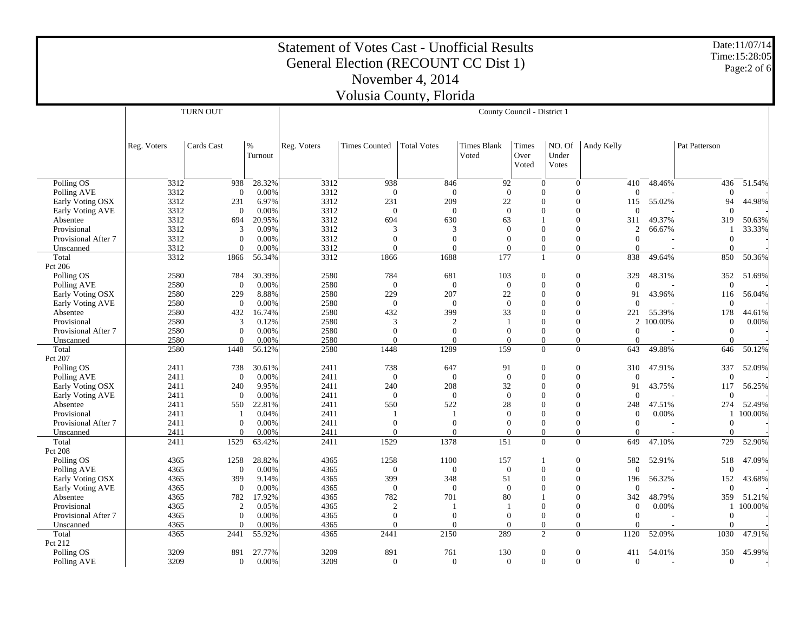|                                 | <b>Statement of Votes Cast - Unofficial Results</b><br>General Election (RECOUNT CC Dist 1) |                         |              |              |                          |                    |                             |                        |                          |                                      |         |                  | Date: 11/07/14<br>Time: 15:28:05<br>Page:2 of 6 |
|---------------------------------|---------------------------------------------------------------------------------------------|-------------------------|--------------|--------------|--------------------------|--------------------|-----------------------------|------------------------|--------------------------|--------------------------------------|---------|------------------|-------------------------------------------------|
|                                 |                                                                                             |                         |              |              |                          | November 4, 2014   |                             |                        |                          |                                      |         |                  |                                                 |
| Volusia County, Florida         |                                                                                             |                         |              |              |                          |                    |                             |                        |                          |                                      |         |                  |                                                 |
|                                 |                                                                                             | <b>TURN OUT</b>         |              |              |                          |                    | County Council - District 1 |                        |                          |                                      |         |                  |                                                 |
|                                 |                                                                                             |                         |              |              |                          |                    |                             |                        |                          |                                      |         |                  |                                                 |
|                                 | Reg. Voters                                                                                 | Cards Cast              | %<br>Turnout | Reg. Voters  | <b>Times Counted</b>     | <b>Total Votes</b> | Times Blank<br>Voted        | Times<br>Over<br>Voted | NO. Of<br>Under<br>Votes | Andy Kelly                           |         | Pat Patterson    |                                                 |
| Polling OS                      | 3312                                                                                        | 938                     | 28.32%       | 3312         | 938                      | 846                | 92                          |                        | $\mathbf{0}$             | $\boldsymbol{0}$<br>410              | 48.46%  | 436              | 51.54%                                          |
| Polling AVE                     | 3312                                                                                        | $\overline{0}$          | 0.00%        | 3312         | $\overline{0}$           | $\theta$           | $\theta$                    |                        | 0                        | $\theta$<br>$\theta$                 |         | $\theta$         |                                                 |
| Early Voting OSX                | 3312                                                                                        | 231                     | 6.97%        | 3312         | 231                      | 209                | 22                          |                        | $\Omega$                 | $\Omega$<br>115                      | 55.02%  | 94               | 44.98%                                          |
| Early Voting AVE                | 3312                                                                                        | $\theta$                | 0.00%        | 3312         | $\mathbf{0}$             | $\mathbf{0}$       | $\mathbf{0}$                |                        | 0                        | $\theta$<br>$\theta$                 |         | $\theta$         |                                                 |
| Absentee                        | 3312                                                                                        | 694                     | 20.95%       | 3312         | 694                      | 630                | 63                          |                        |                          | $\Omega$<br>311                      | 49.37%  | 319              | 50.63%                                          |
| Provisional                     | 3312                                                                                        | 3                       | 0.09%        | 3312         | 3                        | 3                  | $\Omega$                    |                        | $\Omega$                 | $\Omega$<br>$\overline{c}$           | 66.67%  | 1                | 33.33%                                          |
| Provisional After 7             | 3312                                                                                        | $\mathbf{0}$            | 0.00%        | 3312         | $\boldsymbol{0}$         | $\boldsymbol{0}$   | $\Omega$                    |                        | 0                        | $\Omega$<br>$\overline{0}$           |         | $\boldsymbol{0}$ |                                                 |
| Unscanned                       | 3312                                                                                        | $\theta$                | 0.00%        | 3312         | $\Omega$                 | $\Omega$           | $\Omega$                    |                        | $\overline{0}$           | $\overline{0}$<br>$\Omega$           |         | $\theta$         |                                                 |
| Total                           | 3312                                                                                        | 1866                    | 56.34%       | 3312         | 1866                     | 1688               | 177                         |                        | 1                        | $\overline{0}$<br>838                | 49.64%  | 850              | 50.36%                                          |
| Pct 206                         | 2580                                                                                        |                         | 30.39%       | 2580         | 784                      | 681                | 103                         |                        | $\overline{0}$           | 329<br>$\theta$                      | 48.31%  | 352              |                                                 |
| Polling OS                      | 2580                                                                                        | 784<br>$\boldsymbol{0}$ | 0.00%        | 2580         | $\mathbf{0}$             | $\mathbf{0}$       | $\Omega$                    |                        | $\Omega$                 | $\Omega$<br>$\Omega$                 |         | $\overline{0}$   | 51.69%                                          |
| Polling AVE<br>Early Voting OSX | 2580                                                                                        | 229                     | 8.88%        | 2580         | 229                      | 207                | 22                          |                        | $\Omega$                 | $\Omega$<br>91                       | 43.96%  | 116              | 56.04%                                          |
| Early Voting AVE                | 2580                                                                                        | $\mathbf{0}$            | 0.00%        | 2580         | $\overline{0}$           | $\mathbf{0}$       | $\mathbf{0}$                |                        | $\theta$                 | $\theta$<br>$\theta$                 |         | $\mathbf{0}$     |                                                 |
| Absentee                        | 2580                                                                                        | 432                     | 16.74%       | 2580         | 432                      | 399                | 33                          |                        | $\theta$                 | $\theta$<br>221                      | 55.39%  | 178              | 44.61%                                          |
| Provisional                     | 2580                                                                                        | 3                       | 0.12%        | 2580         | 3                        | 2                  | -1                          |                        | $\theta$                 | $\Omega$<br>2                        | 100.00% | $\overline{0}$   | 0.00%                                           |
| Provisional After 7             | 2580                                                                                        | $\mathbf{0}$            | 0.00%        | 2580         | $\overline{0}$           | $\overline{0}$     | $\Omega$                    |                        | $\Omega$                 | $\Omega$<br>$\mathbf{0}$             |         | $\mathbf{0}$     |                                                 |
| Unscanned                       | 2580                                                                                        | $\Omega$                | 0.00%        | 2580         | $\Omega$                 | $\Omega$           | $\Omega$                    |                        | $\Omega$                 | 0<br>$\Omega$                        |         | $\Omega$         |                                                 |
| Total                           | 2580                                                                                        | 1448                    | 56.12%       | 2580         | 1448                     | 1289               | 159                         |                        | $\overline{0}$           | $\overline{0}$<br>643                | 49.88%  | 646              | 50.12%                                          |
| Pct 207                         |                                                                                             |                         |              |              |                          |                    |                             |                        |                          |                                      |         |                  |                                                 |
| Polling OS                      | 2411                                                                                        | 738                     | 30.61%       | 2411         | 738                      | 647                | 91                          |                        | $\Omega$                 | $\theta$<br>310                      | 47.91%  | 337              | 52.09%                                          |
| Polling AVE                     | 2411                                                                                        | $\theta$                | 0.00%        | 2411         | $\theta$                 | $\theta$           | $\overline{0}$              |                        | 0                        | $\theta$<br>$\theta$                 |         | $\overline{0}$   |                                                 |
| Early Voting OSX                | 2411                                                                                        | 240                     | 9.95%        | 2411         | 240                      | 208                | 32                          |                        | $\Omega$                 | $\Omega$<br>91                       | 43.75%  | 117              | 56.25%                                          |
| Early Voting AVE                | 2411                                                                                        | $\boldsymbol{0}$        | 0.00%        | 2411         | $\mathbf{0}$             | $\boldsymbol{0}$   | $\mathbf{0}$                |                        | $\Omega$                 | $\overline{0}$<br>$\mathbf{0}$       |         | $\overline{0}$   |                                                 |
| Absentee                        | 2411                                                                                        | 550                     | 22.81%       | 2411         | 550                      | 522                | 28                          |                        | $\theta$                 | $\theta$<br>248                      | 47.51%  | 274              | 52.49%                                          |
| Provisional                     | 2411                                                                                        |                         | 0.04%        | 2411         |                          |                    | $\theta$                    |                        | $\theta$                 | $\theta$<br>$\mathbf{0}$             | 0.00%   | 1                | 100.00%                                         |
| Provisional After 7             | 2411                                                                                        | $\theta$                | 0.00%        | 2411         | $\mathbf{0}$<br>$\Omega$ | $\mathbf{0}$       | $\theta$<br>$\Omega$        |                        | 0                        | $\theta$<br>$\mathbf{0}$<br>$\Omega$ |         | $\mathbf{0}$     |                                                 |
| Unscanned                       | 2411<br>2411                                                                                | $\Omega$<br>1529        | 0.00%        | 2411<br>2411 | 1529                     | $\Omega$<br>1378   | 151                         |                        | $\Omega$<br>$\Omega$     | $\overline{0}$<br>$\Omega$<br>649    |         | $\Omega$<br>729  |                                                 |
| Total<br>Pct 208                |                                                                                             |                         | 63.42%       |              |                          |                    |                             |                        |                          |                                      | 47.10%  |                  | 52.90%                                          |
| Polling OS                      | 4365                                                                                        | 1258                    | 28.82%       | 4365         | 1258                     | 1100               | 157                         |                        | $\mathbf{1}$             | $\theta$<br>582                      | 52.91%  | 518              | 47.09%                                          |
| Polling AVE                     | 4365                                                                                        | $\boldsymbol{0}$        | 0.00%        | 4365         | $\boldsymbol{0}$         | $\boldsymbol{0}$   | $\theta$                    |                        | 0                        | $\theta$<br>$\theta$                 |         | $\overline{0}$   |                                                 |
| Early Voting OSX                | 4365                                                                                        | 399                     | 9.14%        | 4365         | 399                      | 348                | 51                          |                        | $\Omega$                 | $\Omega$<br>196                      | 56.32%  | 152              | 43.68%                                          |
| Early Voting AVE                | 4365                                                                                        | $\boldsymbol{0}$        | 0.00%        | 4365         | $\boldsymbol{0}$         | $\theta$           | $\overline{0}$              |                        | $\theta$                 | $\theta$<br>$\theta$                 |         | $\mathbf{0}$     |                                                 |
| Absentee                        | 4365                                                                                        | 782                     | 17.92%       | 4365         | 782                      | 701                | 80                          |                        |                          | $\Omega$<br>342                      | 48.79%  | 359              | 51.21%                                          |
| Provisional                     | 4365                                                                                        | 2                       | 0.05%        | 4365         | $\overline{c}$           |                    | -1                          |                        | 0                        | $\theta$<br>$\mathbf{0}$             | 0.00%   | 1                | 100.00%                                         |
| Provisional After 7             | 4365                                                                                        | $\mathbf{0}$            | 0.00%        | 4365         | $\mathbf{0}$             | $\mathbf{0}$       | $\Omega$                    |                        | 0                        | $\theta$<br>$\mathbf{0}$             |         | $\overline{0}$   |                                                 |
| Unscanned                       | 4365                                                                                        | $\Omega$                | 0.00%        | 4365         | $\Omega$                 | $\Omega$           | $\Omega$                    |                        | $\Omega$                 | $\overline{0}$<br>$\Omega$           |         | $\Omega$         |                                                 |
| Total                           | 4365                                                                                        | 2441                    | 55.92%       | 4365         | 2441                     | 2150               | 289                         |                        | $\overline{2}$           | $\overline{0}$<br>1120               | 52.09%  | 1030             | 47.91%                                          |
| Pct 212                         |                                                                                             |                         |              |              |                          |                    |                             |                        |                          |                                      |         |                  |                                                 |
| Polling OS                      | 3209                                                                                        | 891                     | 27.77%       | 3209         | 891                      | 761                | 130                         |                        | $\overline{0}$           | $\Omega$<br>411                      | 54.01%  | 350              | 45.99%                                          |
| Polling AVE                     | 3209                                                                                        | $\overline{0}$          | 0.00%        | 3209         | $\Omega$                 | $\overline{0}$     | $\Omega$                    |                        | $\Omega$                 | $\Omega$<br>$\overline{0}$           |         | $\overline{0}$   |                                                 |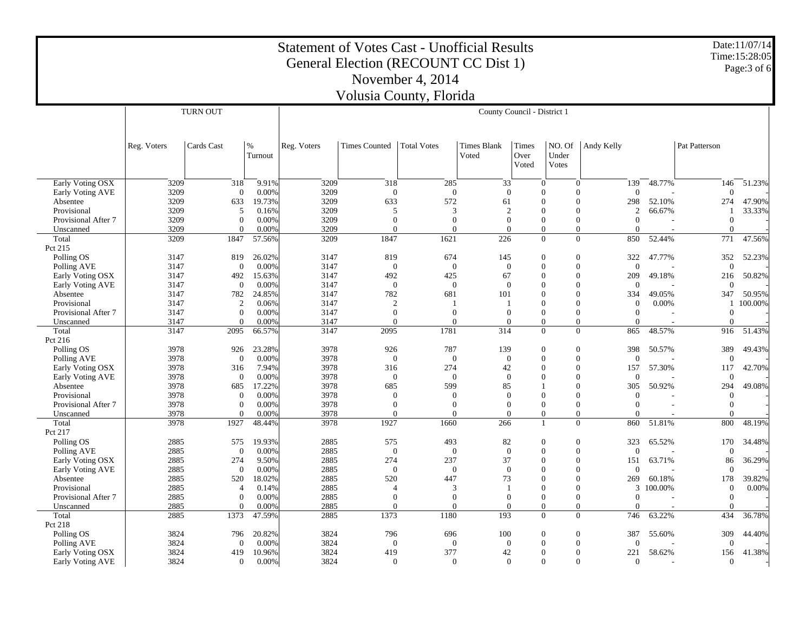| <b>Statement of Votes Cast - Unofficial Results</b><br>General Election (RECOUNT CC Dist 1) |                  |                         |                 |              |                          |                      |                             |                             |                                                    |                      |         |                          | Date: 11/07/14<br>Time: 15:28:05 |
|---------------------------------------------------------------------------------------------|------------------|-------------------------|-----------------|--------------|--------------------------|----------------------|-----------------------------|-----------------------------|----------------------------------------------------|----------------------|---------|--------------------------|----------------------------------|
|                                                                                             |                  |                         |                 |              |                          |                      |                             |                             |                                                    |                      |         |                          | Page: 3 of 6                     |
|                                                                                             | November 4, 2014 |                         |                 |              |                          |                      |                             |                             |                                                    |                      |         |                          |                                  |
| Volusia County, Florida                                                                     |                  |                         |                 |              |                          |                      |                             |                             |                                                    |                      |         |                          |                                  |
|                                                                                             |                  | <b>TURN OUT</b>         |                 |              |                          |                      |                             | County Council - District 1 |                                                    |                      |         |                          |                                  |
|                                                                                             |                  |                         |                 |              |                          |                      |                             |                             |                                                    |                      |         |                          |                                  |
|                                                                                             | Reg. Voters      | Cards Cast              | %<br>Turnout    | Reg. Voters  | <b>Times Counted</b>     | <b>Total Votes</b>   | <b>Times Blank</b><br>Voted | Times<br>Over<br>Voted      | NO. Of<br>Under<br>Votes                           | Andy Kelly           |         | Pat Patterson            |                                  |
| Early Voting OSX                                                                            | 3209             | 318                     | 9.91%           | 3209         | 318                      | 285                  | 33                          |                             | $\overline{0}$<br>$\overline{0}$                   | 139                  | 48.77%  | 146                      | 51.23%                           |
| Early Voting AVE                                                                            | 3209             | $\Omega$                | 0.00%           | 3209         | $\Omega$                 | $\Omega$             | $\Omega$                    | $\Omega$                    | $\Omega$                                           | $\Omega$             |         | $\Omega$                 |                                  |
| Absentee                                                                                    | 3209             | 633                     | 19.73%          | 3209         | 633                      | 572                  | 61                          | $\Omega$                    | $\mathbf{0}$                                       | 298                  | 52.10%  | 274                      | 47.90%                           |
| Provisional                                                                                 | 3209             | 5                       | 0.16%           | 3209         | 5                        | 3                    | $\overline{2}$              |                             | $\theta$<br>$\theta$                               | 2                    | 66.67%  |                          | 33.33%                           |
| Provisional After 7<br>Unscanned                                                            | 3209<br>3209     | $\theta$<br>$\Omega$    | 0.00%<br>0.00%  | 3209<br>3209 | $\theta$<br>$\Omega$     | $\theta$<br>$\Omega$ | $\overline{0}$<br>$\Omega$  |                             | $\overline{0}$<br>$\theta$<br>$\Omega$<br>$\Omega$ | $\theta$<br>$\Omega$ |         | $\mathbf{0}$<br>$\Omega$ |                                  |
| Total                                                                                       | 3209             | 1847                    | 57.56%          | 3209         | 1847                     | 1621                 | 226                         |                             | $\Omega$<br>$\Omega$                               | 850                  | 52.44%  | 771                      | 47.56%                           |
| Pct 215                                                                                     |                  |                         |                 |              |                          |                      |                             |                             |                                                    |                      |         |                          |                                  |
| Polling OS                                                                                  | 3147             | 819                     | 26.02%          | 3147         | 819                      | 674                  | 145                         | $\Omega$                    | $\overline{0}$                                     | 322                  | 47.77%  | 352                      | 52.23%                           |
| Polling AVE                                                                                 | 3147             | $\theta$                | 0.00%           | 3147         | $\Omega$                 | $\overline{0}$       | $\overline{0}$              | $\theta$                    | $\mathbf{0}$                                       | $\overline{0}$       |         | $\mathbf{0}$             |                                  |
| Early Voting OSX                                                                            | 3147             | 492                     | 15.63%          | 3147         | 492                      | 425                  | 67                          | $\Omega$                    | $\Omega$                                           | 209                  | 49.18%  | 216                      | 50.82%                           |
| <b>Early Voting AVE</b>                                                                     | 3147             | $\overline{0}$          | 0.00%           | 3147         | $\theta$                 | $\theta$             | $\Omega$                    |                             | $\Omega$<br>0                                      | $\Omega$             |         | $\Omega$                 |                                  |
| Absentee                                                                                    | 3147             | 782                     | 24.85%          | 3147         | 782                      | 681                  | 101                         | $\Omega$                    | $\overline{0}$                                     | 334                  | 49.05%  | 347                      | 50.95%                           |
| Provisional                                                                                 | 3147             | 2                       | 0.06%           | 3147         | $\overline{2}$           |                      |                             | $\Omega$                    | $\Omega$                                           | $\overline{0}$       | 0.00%   | 1                        | 100.00%                          |
| Provisional After 7                                                                         | 3147             | $\boldsymbol{0}$        | 0.00%           | 3147         | $\mathbf{0}$             | $\overline{0}$       | $\theta$                    | $\Omega$                    | $\boldsymbol{0}$                                   | $\boldsymbol{0}$     |         | $\mathbf{0}$             |                                  |
| Unscanned                                                                                   | 3147             | $\Omega$                | 0.00%           | 3147         | $\Omega$                 | $\Omega$             | $\Omega$                    | $\Omega$                    | $\mathbf{0}$                                       | $\Omega$             |         | $\overline{0}$           |                                  |
| Total                                                                                       | 3147             | 2095                    | 66.57%          | 3147         | 2095                     | 1781                 | 314                         |                             | $\Omega$<br>$\Omega$                               | 865                  | 48.57%  | 916                      | 51.43%                           |
| Pct 216<br>Polling OS                                                                       | 3978             | 926                     | 23.28%          | 3978         | 926                      | 787                  | 139                         | $\Omega$                    | $\theta$                                           | 398                  | 50.57%  | 389                      | 49.43%                           |
| Polling AVE                                                                                 | 3978             | $\theta$                | 0.00%           | 3978         | $\theta$                 | $\theta$             | $\overline{0}$              | $\Omega$                    | $\overline{0}$                                     | $\overline{0}$       |         | $\mathbf{0}$             |                                  |
| Early Voting OSX                                                                            | 3978             | 316                     | 7.94%           | 3978         | 316                      | 274                  | 42                          |                             | $\Omega$<br>$\Omega$                               | 157                  | 57.30%  | 117                      | 42.70%                           |
| Early Voting AVE                                                                            | 3978             | $\Omega$                | 0.00%           | 3978         | $\Omega$                 | $\mathbf{0}$         | $\Omega$                    | 0                           | $\theta$                                           | $\Omega$             |         | $\Omega$                 |                                  |
| Absentee                                                                                    | 3978             | 685                     | 17.22%          | 3978         | 685                      | 599                  | 85                          |                             | $\Omega$                                           | 305                  | 50.92%  | 294                      | 49.08%                           |
| Provisional                                                                                 | 3978             | $\overline{0}$          | 0.00%           | 3978         | $\theta$                 | $\theta$             | $\Omega$                    | $\Omega$                    | $\Omega$                                           | $\Omega$             |         | $\theta$                 |                                  |
| Provisional After 7                                                                         | 3978             | $\theta$                | 0.00%           | 3978         | $\theta$                 | $\theta$             | $\overline{0}$              |                             | $\theta$<br>$\mathbf{0}$                           | $\overline{0}$       |         | $\overline{0}$           |                                  |
| Unscanned                                                                                   | 3978             | $\Omega$                | 0.00%           | 3978         | $\Omega$                 | $\Omega$             | $\Omega$                    | $\Omega$                    | $\Omega$                                           | $\Omega$             |         | $\Omega$                 |                                  |
| Total                                                                                       | 3978             | 1927                    | 48.44%          | 3978         | 1927                     | 1660                 | 266                         | $\mathbf{1}$                | $\mathbf{0}$                                       | 860                  | 51.81%  | 800                      | 48.19%                           |
| Pct 217                                                                                     |                  |                         |                 |              |                          |                      |                             | $\Omega$                    |                                                    |                      |         |                          |                                  |
| Polling OS                                                                                  | 2885<br>2885     | 575                     | 19.93%<br>0.00% | 2885<br>2885 | 575                      | 493                  | 82                          | $\theta$                    | $\Omega$                                           | 323                  | 65.52%  | 170                      | 34.48%                           |
| Polling AVE<br>Early Voting OSX                                                             | 2885             | $\boldsymbol{0}$<br>274 | 9.50%           | 2885         | $\mathbf{0}$<br>274      | $\mathbf{0}$<br>237  | $\mathbf{0}$<br>37          |                             | $\mathbf{0}$<br>$\overline{0}$<br>$\Omega$         | $\mathbf{0}$<br>151  | 63.71%  | $\mathbf{0}$<br>86       | 36.29%                           |
| Early Voting AVE                                                                            | 2885             | $\overline{0}$          | 0.00%           | 2885         | $\theta$                 | $\theta$             | $\overline{0}$              |                             | $\overline{0}$<br>$\Omega$                         | $\overline{0}$       |         | $\theta$                 |                                  |
| Absentee                                                                                    | 2885             | 520                     | 18.02%          | 2885         | 520                      | 447                  | 73                          | 0                           | $\Omega$                                           | 269                  | 60.18%  | 178                      | 39.82%                           |
| Provisional                                                                                 | 2885             | $\overline{4}$          | 0.14%           | 2885         | $\boldsymbol{\varDelta}$ | 3                    |                             | $\Omega$                    | $\Omega$                                           | 3                    | 100.00% | $\mathbf{0}$             | 0.00%                            |
| Provisional After 7                                                                         | 2885             | $\mathbf{0}$            | 0.00%           | 2885         | $\theta$                 | $\mathbf{0}$         | $\theta$                    |                             | $\mathbf{0}$<br>$\overline{0}$                     | $\overline{0}$       |         | $\mathbf{0}$             |                                  |
| Unscanned                                                                                   | 2885             | $\Omega$                | 0.00%           | 2885         | $\Omega$                 | $\Omega$             | $\Omega$                    |                             | $\Omega$<br>$\mathbf{0}$                           | $\Omega$             |         | $\Omega$                 |                                  |
| Total                                                                                       | 2885             | 1373                    | 47.59%          | 2885         | 1373                     | 1180                 | 193                         |                             | $\Omega$<br>$\Omega$                               | 746                  | 63.22%  | 434                      | 36.78%                           |
| Pct 218                                                                                     |                  |                         |                 |              |                          |                      |                             | $\Omega$                    |                                                    |                      |         |                          |                                  |
| Polling OS                                                                                  | 3824<br>3824     | 796<br>$\theta$         | 20.82%<br>0.00% | 3824<br>3824 | 796<br>$\Omega$          | 696<br>$\theta$      | 100<br>$\theta$             | $\Omega$                    | $\overline{0}$<br>$\overline{0}$                   | 387<br>$\theta$      | 55.60%  | 309<br>$\overline{0}$    | 44.40%                           |
| Polling AVE<br>Early Voting OSX                                                             | 3824             | 419                     | 10.96%          | 3824         | 419                      | 377                  | 42                          | $\Omega$                    | $\Omega$                                           | 221                  | 58.62%  | 156                      | 41.38%                           |
| Early Voting AVE                                                                            | 3824             | $\boldsymbol{0}$        | 0.00%           | 3824         | $\mathbf{0}$             | $\mathbf{0}$         | $\overline{0}$              |                             | $\theta$<br>$\mathbf{0}$                           | $\mathbf{0}$         |         | $\mathbf{0}$             |                                  |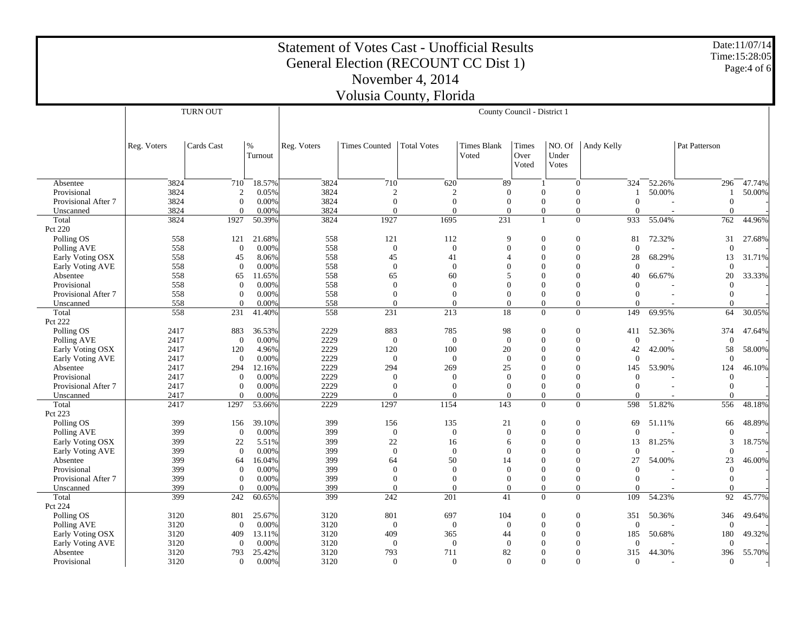|                                  |                  |                            |                 | <b>Statement of Votes Cast - Unofficial Results</b> | General Election (RECOUNT CC Dist 1) |                            |                             |                            |                          |                                                              |                |                                  | Date:11/07/14<br>Time:15:28:05 |  |
|----------------------------------|------------------|----------------------------|-----------------|-----------------------------------------------------|--------------------------------------|----------------------------|-----------------------------|----------------------------|--------------------------|--------------------------------------------------------------|----------------|----------------------------------|--------------------------------|--|
|                                  | November 4, 2014 |                            |                 |                                                     |                                      |                            |                             |                            |                          |                                                              |                |                                  | Page:4 of 6                    |  |
|                                  |                  |                            |                 |                                                     | Volusia County, Florida              |                            |                             |                            |                          |                                                              |                |                                  |                                |  |
|                                  |                  | <b>TURN OUT</b>            |                 |                                                     | County Council - District 1          |                            |                             |                            |                          |                                                              |                |                                  |                                |  |
|                                  |                  |                            |                 |                                                     |                                      |                            |                             |                            |                          |                                                              |                |                                  |                                |  |
|                                  | Reg. Voters      | Cards Cast                 | $\%$<br>Turnout | Reg. Voters                                         | <b>Times Counted</b>                 | <b>Total Votes</b>         | <b>Times Blank</b><br>Voted | Times<br>Over<br>Voted     | NO. Of<br>Under<br>Votes | Andy Kelly                                                   |                | Pat Patterson                    |                                |  |
| Absentee                         | 3824             | 710                        | 18.57%          | 3824                                                | 710                                  | 620                        | 89                          |                            |                          | $\mathbf{0}$<br>324                                          | 52.26%         | 296                              | 47.74%                         |  |
| Provisional                      | 3824             | $\mathfrak{2}$             | 0.05%           | 3824                                                | $\overline{2}$                       | 2                          | $\theta$                    | $\theta$                   |                          | $\Omega$<br>1                                                | 50.00%         | 1                                | 50.00%                         |  |
| Provisional After 7              | 3824             | $\theta$                   | 0.00%           | 3824                                                | $\mathbf{0}$                         | $\mathbf{0}$               | $\theta$                    | $\overline{0}$             |                          | $\mathbf{0}$<br>$\overline{0}$                               |                | $\mathbf{0}$                     |                                |  |
| Unscanned                        | 3824             | $\Omega$                   | 0.00%           | 3824                                                | $\theta$                             | $\theta$                   | $\Omega$                    | $\overline{0}$             |                          | $\overline{0}$<br>$\Omega$                                   |                | $\overline{0}$                   |                                |  |
| Total<br>Pct 220                 | 3824             | 1927                       | 50.39%          | 3824                                                | 1927                                 | 1695                       | 231                         | $\overline{1}$             |                          | $\Omega$<br>933                                              | 55.04%         | 762                              | 44.96%                         |  |
| Polling OS<br>Polling AVE        | 558<br>558       | 121<br>$\overline{0}$      | 21.68%<br>0.00% | 558<br>558                                          | 121<br>$\mathbf{0}$                  | 112<br>$\theta$            | <b>Q</b><br>$\theta$        | $\mathbf{0}$<br>$\theta$   |                          | $\theta$<br>81<br>$\mathbf{0}$<br>$\theta$                   | 72.32%         | 31<br>$\overline{0}$             | 27.68%                         |  |
| Early Voting OSX                 | 558              | 45                         | 8.06%           | 558                                                 | 45                                   | 41                         | $\overline{4}$              | $\Omega$                   |                          | $\mathbf{0}$<br>28                                           | 68.29%         | 13                               | 31.71%                         |  |
| Early Voting AVE                 | 558              | $\Omega$                   | 0.00%           | 558                                                 | $\mathbf{0}$                         | $\Omega$                   | $\Omega$                    | $\Omega$                   |                          | $\Omega$<br>$\theta$                                         |                | $\theta$                         |                                |  |
| Absentee                         | 558              | 65                         | 11.65%          | 558                                                 | 65                                   | 60                         | 5                           | $\Omega$                   |                          | $\theta$<br>40                                               | 66.67%         | 20                               | 33.33%                         |  |
| Provisional                      | 558              | $\overline{0}$             | 0.00%           | 558                                                 | $\theta$                             | $\theta$                   | $\Omega$                    | $\Omega$                   |                          | $\Omega$<br>$\theta$                                         |                | $\overline{0}$                   |                                |  |
| Provisional After 7              | 558              | $\theta$                   | 0.00%           | 558                                                 | $\mathbf{0}$                         | $\overline{0}$             | $\overline{0}$              | $\overline{0}$             |                          | $\mathbf{0}$<br>$\mathbf{0}$                                 |                | $\mathbf{0}$                     |                                |  |
| Unscanned                        | 558              | $\Omega$                   | 0.00%           | 558                                                 | $\Omega$                             | $\Omega$                   | $\Omega$                    | $\Omega$                   |                          | $\Omega$<br>$\Omega$                                         |                | $\Omega$                         |                                |  |
| Total<br>Pct 222                 | 558              | 231                        | 41.40%          | 558                                                 | 231                                  | 213                        | 18                          | $\Omega$                   |                          | $\overline{0}$<br>149                                        | 69.95%         | 64                               | 30.05%                         |  |
| Polling OS                       | 2417             | 883                        | 36.53%          | 2229                                                | 883                                  | 785                        | 98                          | $\mathbf{0}$               |                          | $\theta$<br>411                                              | 52.36%         | 374                              | 47.64%                         |  |
| Polling AVE                      | 2417             | $\overline{0}$             | 0.00%           | 2229                                                | $\mathbf{0}$                         | $\mathbf{0}$               | $\theta$                    | $\Omega$                   |                          | $\mathbf{0}$<br>$\theta$                                     |                | $\overline{0}$                   |                                |  |
| Early Voting OSX                 | 2417             | 120                        | 4.96%           | 2229                                                | 120                                  | 100                        | 20                          | $\Omega$                   |                          | $\mathbf{0}$<br>42                                           | 42.00%         | 58                               | 58.00%                         |  |
| Early Voting AVE                 | 2417             | $\overline{0}$             | 0.00%           | 2229                                                | $\theta$                             | $\theta$                   | $\theta$                    | $\Omega$                   |                          | $\mathbf{0}$<br>$\theta$                                     |                | $\theta$                         |                                |  |
| Absentee                         | 2417             | 294                        | 12.16%          | 2229                                                | 294                                  | 269                        | 25                          | $\Omega$                   |                          | $\theta$<br>145                                              | 53.90%         | 124                              | 46.10%                         |  |
| Provisional                      | 2417<br>2417     | $\overline{0}$<br>$\theta$ | 0.00%           | 2229<br>2229                                        | $\theta$<br>$\mathbf{0}$             | $\Omega$<br>$\overline{0}$ | $\Omega$<br>$\mathbf{0}$    | $\Omega$<br>$\overline{0}$ |                          | $\Omega$<br>$\Omega$<br>$\boldsymbol{0}$<br>$\boldsymbol{0}$ |                | $\overline{0}$<br>$\overline{0}$ |                                |  |
| Provisional After 7<br>Unscanned | 2417             | $\Omega$                   | 0.00%<br>0.00%  | 2229                                                | $\Omega$                             | $\Omega$                   | $\Omega$                    | $\Omega$                   |                          | $\mathbf{0}$<br>$\Omega$                                     |                | $\overline{0}$                   |                                |  |
| Total                            | 2417             | 1297                       | 53.66%          | 2229                                                | 1297                                 | 1154                       | 143                         | $\Omega$                   |                          | $\overline{0}$<br>598                                        | 51.82%         | 556                              | 48.18%                         |  |
| Pct 223                          |                  |                            |                 |                                                     |                                      |                            |                             |                            |                          |                                                              |                |                                  |                                |  |
| Polling OS                       | 399              | 156                        | 39.10%          | 399                                                 | 156                                  | 135                        | 21                          | $\Omega$                   |                          | $\Omega$<br>69                                               | 51.11%         | 66                               | 48.89%                         |  |
| Polling AVE                      | 399              | $\overline{0}$             | 0.00%           | 399                                                 | $\mathbf{0}$                         | $\mathbf{0}$               | $\mathbf{0}$                | $\theta$                   |                          | $\mathbf{0}$<br>$\theta$                                     |                | $\overline{0}$                   |                                |  |
| Early Voting OSX                 | 399              | 22                         | 5.51%           | 399                                                 | 22                                   | 16                         | 6                           | $\theta$                   |                          | $\mathbf{0}$<br>13                                           | 81.25%         | 3                                | 18.75%                         |  |
| Early Voting AVE                 | 399<br>399       | $\Omega$                   | 0.00%           | 399<br>399                                          | $\mathbf{0}$                         | $\mathbf{0}$<br>50         | $\Omega$                    | $\Omega$<br>$\Omega$       |                          | $\Omega$<br>$\theta$<br>$\Omega$<br>27                       | 54.00%         | $\overline{0}$<br>23             |                                |  |
| Absentee<br>Provisional          | 399              | 64<br>$\overline{0}$       | 16.04%<br>0.00% | 399                                                 | 64<br>$\overline{0}$                 | $\theta$                   | 14<br>$\theta$              | $\Omega$                   |                          | $\Omega$<br>$\overline{0}$                                   |                | $\mathbf{0}$                     | 46.00%                         |  |
| Provisional After 7              | 399              | $\overline{0}$             | 0.00%           | 399                                                 | $\mathbf{0}$                         | $\mathbf{0}$               | $\overline{0}$              | $\overline{0}$             |                          | $\mathbf{0}$<br>$\mathbf{0}$                                 | $\overline{a}$ | $\mathbf{0}$                     |                                |  |
| Unscanned                        | 399              | $\Omega$                   | 0.00%           | 399                                                 | $\theta$                             | $\Omega$                   | $\Omega$                    | $\Omega$                   |                          | $\mathbf{0}$<br>$\Omega$                                     |                | $\mathbf{0}$                     |                                |  |
| Total                            | 399              | 242                        | 60.65%          | 399                                                 | 242                                  | 201                        | 41                          | $\Omega$                   |                          | $\Omega$<br>109                                              | 54.23%         | 92                               | 45.77%                         |  |
| Pct 224                          |                  |                            |                 |                                                     |                                      |                            |                             |                            |                          |                                                              |                |                                  |                                |  |
| Polling OS                       | 3120             | 801                        | 25.67%          | 3120                                                | 801                                  | 697                        | 104                         | $\theta$                   |                          | $\theta$<br>351                                              | 50.36%         | 346                              | 49.64%                         |  |
| Polling AVE                      | 3120             | $\overline{0}$             | 0.00%           | 3120                                                | $\mathbf{0}$                         | $\mathbf{0}$               | $\mathbf{0}$                | $\Omega$                   |                          | $\theta$<br>$\mathbf{0}$                                     |                | $\overline{0}$                   |                                |  |
| Early Voting OSX                 | 3120             | 409                        | 13.11%          | 3120                                                | 409                                  | 365                        | 44                          | $\Omega$                   |                          | $\theta$<br>185<br>$\mathbf{0}$                              | 50.68%         | 180                              | 49.32%                         |  |
| Early Voting AVE<br>Absentee     | 3120<br>3120     | $\overline{0}$<br>793      | 0.00%<br>25.42% | 3120<br>3120                                        | $\mathbf{0}$<br>793                  | $\mathbf{0}$<br>711        | $\mathbf{0}$<br>82          | $\theta$<br>$\Omega$       |                          | $\mathbf{0}$<br>$\mathbf{0}$<br>315                          | 44.30%         | $\overline{0}$<br>396            | 55.70%                         |  |
| Provisional                      | 3120             | $\mathbf{0}$               | 0.00%           | 3120                                                | $\mathbf{0}$                         | $\overline{0}$             | $\Omega$                    | $\Omega$                   |                          | $\Omega$<br>$\overline{0}$                                   |                | $\overline{0}$                   |                                |  |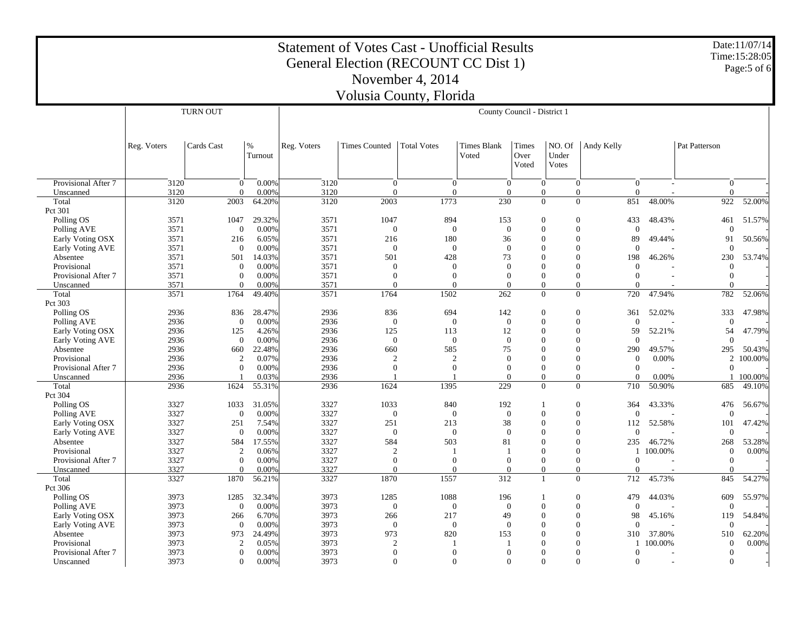|                                  |              |                       |                 | <b>Statement of Votes Cast - Unofficial Results</b> | General Election (RECOUNT CC Dist 1) |                          |                             |                                  |                                |                              |                          |                              | Date: 11/07/14<br>Time:15:28:05 |  |
|----------------------------------|--------------|-----------------------|-----------------|-----------------------------------------------------|--------------------------------------|--------------------------|-----------------------------|----------------------------------|--------------------------------|------------------------------|--------------------------|------------------------------|---------------------------------|--|
|                                  |              |                       |                 |                                                     |                                      | November 4, 2014         |                             |                                  |                                |                              |                          |                              | Page:5 of 6                     |  |
|                                  |              |                       |                 |                                                     | Volusia County, Florida              |                          |                             |                                  |                                |                              |                          |                              |                                 |  |
|                                  |              | <b>TURN OUT</b>       |                 |                                                     | County Council - District 1          |                          |                             |                                  |                                |                              |                          |                              |                                 |  |
|                                  |              |                       |                 |                                                     |                                      |                          |                             |                                  |                                |                              |                          |                              |                                 |  |
|                                  | Reg. Voters  | Cards Cast            | $\%$<br>Turnout | Reg. Voters                                         | <b>Times Counted</b>                 | <b>Total Votes</b>       | <b>Times Blank</b><br>Voted | Times<br>Over<br>Voted           | NO. Of<br>Under<br>Votes       | Andy Kelly                   |                          | Pat Patterson                |                                 |  |
| Provisional After 7              | 3120         | $\Omega$              | 0.00%           | 3120                                                | $\overline{0}$                       | $\overline{0}$           | $\overline{0}$              | $\overline{0}$                   | $\overline{0}$                 | $\overline{0}$               | $\overline{\phantom{a}}$ | $\overline{0}$               |                                 |  |
| Unscanned<br>Total               | 3120<br>3120 | $\Omega$<br>2003      | 0.00%<br>64.20% | 3120<br>3120                                        | $\Omega$<br>2003                     | $\mathbf{0}$<br>1773     | $\theta$<br>230             | $\overline{0}$<br>$\overline{0}$ | $\mathbf{0}$<br>$\overline{0}$ | $\Omega$<br>851              | 48.00%                   | $\mathbf{0}$<br>922          | 52.00%                          |  |
| Pct 301                          |              |                       |                 |                                                     |                                      |                          |                             |                                  |                                |                              |                          |                              |                                 |  |
| Polling OS                       | 3571         | 1047                  | 29.32%          | 3571                                                | 1047                                 | 894                      | 153                         | $\Omega$                         | $\Omega$                       | 433                          | 48.43%                   | 461                          | 51.57%                          |  |
| Polling AVE                      | 3571         | $\boldsymbol{0}$      | 0.00%           | 3571                                                | $\mathbf{0}$                         | $\mathbf{0}$             | $\mathbf{0}$                | $\theta$                         | $\overline{0}$                 | $\mathbf{0}$                 |                          | $\theta$                     |                                 |  |
| Early Voting OSX                 | 3571         | 216<br>$\overline{0}$ | 6.05%           | 3571                                                | 216                                  | 180                      | 36<br>$\theta$              | $\Omega$<br>$\Omega$             | $\Omega$<br>$\theta$           | 89<br>$\theta$               | 49.44%                   | 91<br>$\theta$               | 50.56%                          |  |
| Early Voting AVE<br>Absentee     | 3571<br>3571 | 501                   | 0.00%<br>14.03% | 3571<br>3571                                        | $\mathbf{0}$<br>501                  | $\mathbf{0}$<br>428      | 73                          | $\Omega$                         | $\Omega$                       | 198                          | 46.26%                   | 230                          | 53.74%                          |  |
| Provisional                      | 3571         | $\Omega$              | 0.00%           | 3571                                                | $\mathbf{0}$                         | $\Omega$                 | $\Omega$                    | $\Omega$                         | $\Omega$                       | $\Omega$                     |                          | $\mathbf{0}$                 |                                 |  |
| Provisional After 7              | 3571         | $\theta$              | 0.00%           | 3571                                                | $\mathbf{0}$                         | $\mathbf{0}$             | $\theta$                    | $\Omega$                         | $\theta$                       | $\mathbf{0}$                 |                          | $\mathbf{0}$                 |                                 |  |
| Unscanned                        | 3571         | $\Omega$              | 0.00%           | 3571                                                | $\theta$                             | $\Omega$                 | $\Omega$                    | $\Omega$                         | $\Omega$                       | $\Omega$                     |                          | $\overline{0}$               |                                 |  |
| Total                            | 3571         | 1764                  | 49.40%          | 3571                                                | 1764                                 | 1502                     | 262                         | $\overline{0}$                   | $\overline{0}$                 | 720                          | 47.94%                   | 782                          | 52.06%                          |  |
| Pct 303                          |              |                       |                 |                                                     |                                      |                          |                             |                                  |                                |                              |                          |                              |                                 |  |
| Polling OS<br>Polling AVE        | 2936<br>2936 | 836<br>$\overline{0}$ | 28.47%<br>0.00% | 2936<br>2936                                        | 836<br>$\mathbf{0}$                  | 694<br>$\theta$          | 142<br>$\overline{0}$       | $\mathbf{0}$<br>$\Omega$         | $\theta$<br>$\theta$           | 361<br>$\theta$              | 52.02%                   | 333<br>$\overline{0}$        | 47.98%                          |  |
| Early Voting OSX                 | 2936         | 125                   | 4.26%           | 2936                                                | 125                                  | 113                      | 12                          | $\Omega$                         | $\Omega$                       | 59                           | 52.21%                   | 54                           | 47.79%                          |  |
| Early Voting AVE                 | 2936         | $\overline{0}$        | 0.00%           | 2936                                                | $\mathbf{0}$                         | $\theta$                 | $\theta$                    | $\Omega$                         | $\theta$                       | $\theta$                     |                          | $\theta$                     |                                 |  |
| Absentee                         | 2936         | 660                   | 22.48%          | 2936                                                | 660                                  | 585                      | 75                          | $\Omega$                         | $\mathbf{0}$                   | 290                          | 49.57%                   | 295                          | 50.43%                          |  |
| Provisional                      | 2936         | $\overline{c}$        | 0.07%           | 2936                                                | $\overline{2}$                       | $\overline{2}$           | $\theta$                    | $\Omega$                         | $\mathbf{0}$                   | $\overline{0}$               | 0.00%                    | 2                            | 100.00%                         |  |
| Provisional After 7              | 2936         | $\overline{0}$        | 0.00%           | 2936                                                | $\overline{0}$                       | $\mathbf{0}$             | $\theta$                    | $\Omega$                         | $\mathbf{0}$                   | $\mathbf{0}$                 |                          | $\overline{0}$               |                                 |  |
| Unscanned                        | 2936         |                       | 0.03%           | 2936                                                |                                      |                          | $\Omega$                    | $\Omega$                         | $\Omega$                       | $\Omega$                     | 0.00%                    | $\mathbf{1}$                 | 100.00%                         |  |
| Total<br>Pct 304                 | 2936         | 1624                  | 55.31%          | 2936                                                | 1624                                 | 1395                     | 229                         | $\overline{0}$                   | $\overline{0}$                 | 710                          | 50.90%                   | 685                          | 49.10%                          |  |
| Polling OS                       | 3327         | 1033                  | 31.05%          | 3327                                                | 1033                                 | 840                      | 192                         | $\overline{1}$                   | $\theta$                       | 364                          | 43.33%                   | 476                          | 56.67%                          |  |
| Polling AVE                      | 3327         | $\overline{0}$        | 0.00%           | 3327                                                | $\theta$                             | $\theta$                 | $\theta$                    | $\Omega$                         | $\mathbf{0}$                   | $\Omega$                     |                          | $\theta$                     |                                 |  |
| Early Voting OSX                 | 3327         | 251                   | 7.54%           | 3327                                                | 251                                  | 213                      | 38                          | $\Omega$                         | $\Omega$                       | 112                          | 52.58%                   | 101                          | 47.42%                          |  |
| Early Voting AVE                 | 3327         | $\overline{0}$        | 0.00%           | 3327                                                | $\mathbf{0}$                         | $\mathbf{0}$             | $\theta$                    | $\Omega$                         | $\mathbf{0}$                   | $\mathbf{0}$                 |                          | $\mathbf{0}$                 |                                 |  |
| Absentee                         | 3327         | 584                   | 17.55%          | 3327                                                | 584                                  | 503                      | 81                          | $\Omega$                         | $\theta$                       | 235                          | 46.72%                   | 268                          | 53.28%                          |  |
| Provisional                      | 3327         | $\overline{2}$        | 0.06%           | 3327                                                | $\overline{2}$                       |                          |                             | $\Omega$                         | $\Omega$                       | 1                            | 100.00%                  | $\mathbf{0}$                 | 0.00%                           |  |
| Provisional After 7<br>Unscanned | 3327<br>3327 | $\Omega$<br>$\Omega$  | 0.00%<br>0.00%  | 3327<br>3327                                        | $\mathbf{0}$<br>$\theta$             | $\mathbf{0}$<br>$\Omega$ | $\Omega$<br>$\Omega$        | $\Omega$<br>$\Omega$             | $\Omega$<br>$\theta$           | $\boldsymbol{0}$<br>$\Omega$ |                          | $\mathbf{0}$<br>$\mathbf{0}$ |                                 |  |
| Total                            | 3327         | 1870                  | 56.21%          | 3327                                                | 1870                                 | 1557                     | 312                         | $\overline{1}$                   | $\mathbf{0}$                   | 712                          | 45.73%                   | 845                          | 54.27%                          |  |
| Pct 306                          |              |                       |                 |                                                     |                                      |                          |                             |                                  |                                |                              |                          |                              |                                 |  |
| Polling OS                       | 3973         | 1285                  | 32.34%          | 3973                                                | 1285                                 | 1088                     | 196                         | $\mathbf{1}$                     | $\boldsymbol{0}$               | 479                          | 44.03%                   | 609                          | 55.97%                          |  |
| Polling AVE                      | 3973         | $\theta$              | 0.00%           | 3973                                                | $\mathbf{0}$                         | $\overline{0}$           | $\theta$                    | $\overline{0}$                   | $\mathbf{0}$                   | $\theta$                     |                          | $\theta$                     |                                 |  |
| Early Voting OSX                 | 3973         | 266                   | 6.70%           | 3973                                                | 266                                  | 217                      | 49                          | $\Omega$                         | $\Omega$                       | 98                           | 45.16%                   | 119                          | 54.84%                          |  |
| Early Voting AVE                 | 3973         | $\overline{0}$        | 0.00%           | 3973                                                | $\mathbf{0}$                         | $\mathbf{0}$             | $\theta$                    | $\Omega$                         | $\theta$                       | $\theta$                     |                          | $\mathbf{0}$                 |                                 |  |
| Absentee<br>Provisional          | 3973<br>3973 | 973<br>2              | 24.49%<br>0.05% | 3973<br>3973                                        | 973<br>$\overline{2}$                | 820                      | 153                         | $\Omega$<br>$\theta$             | $\Omega$<br>$\mathbf{0}$       | 310<br>1                     | 37.80%<br>100.00%        | 510<br>$\mathbf{0}$          | 62.20%<br>0.00%                 |  |
| Provisional After 7              | 3973         | $\theta$              | 0.00%           | 3973                                                | $\theta$                             | $\theta$                 | $\theta$                    | $\Omega$                         | $\theta$                       | $\theta$                     |                          | $\overline{0}$               |                                 |  |
| Unscanned                        | 3973         | $\theta$              | 0.00%           | 3973                                                | $\overline{0}$                       | $\theta$                 | $\Omega$                    | $\Omega$                         | $\Omega$                       | $\mathbf{0}$                 | $\overline{\phantom{a}}$ | $\mathbf{0}$                 |                                 |  |